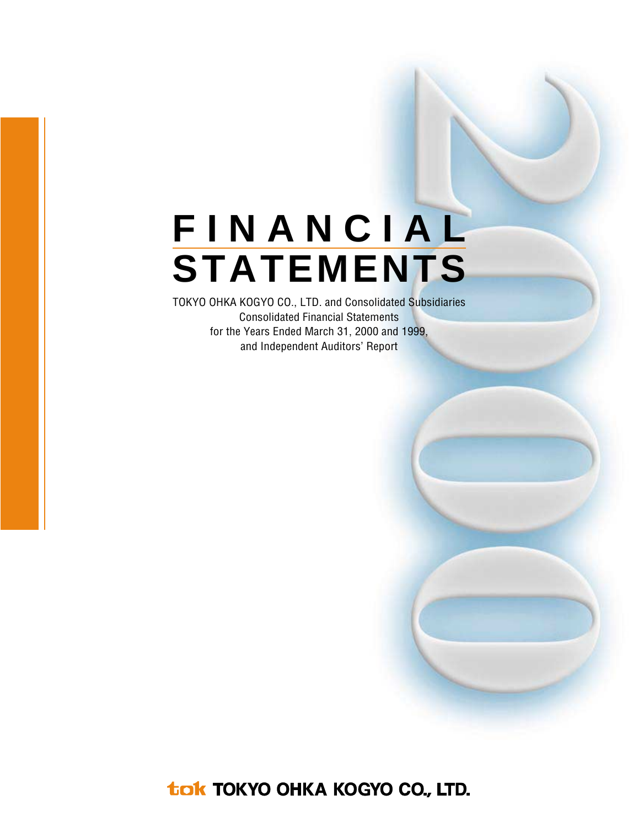# **FINANCIAL STATEMENTS**

TOKYO OHKA KOGYO CO., LTD. and Consolidated Subsidiaries Consolidated Financial Statements for the Years Ended March 31, 2000 and 1999, and Independent Auditors' Report

tak TOKYO OHKA KOGYO CO., LTD.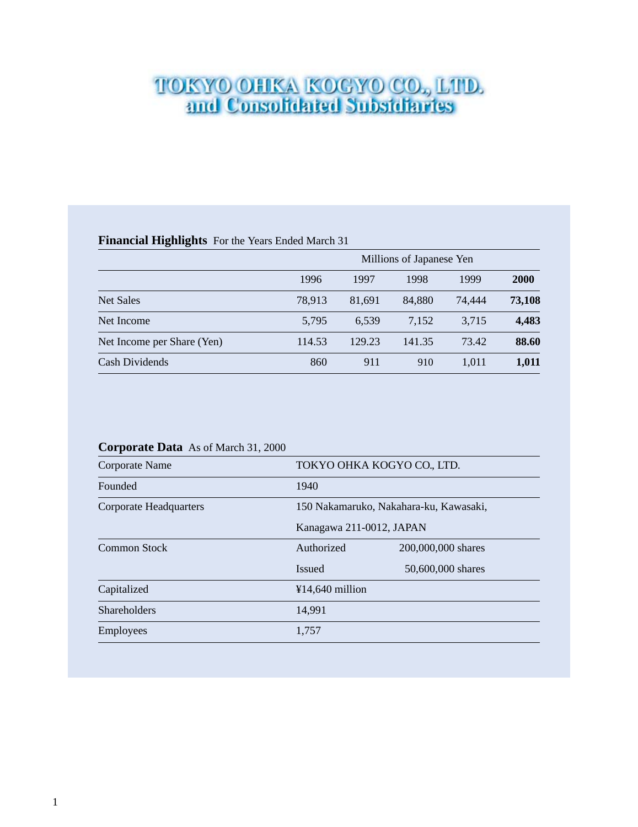# **TOKYO OHKA KOGYO CO., LTD.**<br>and Consolidated Subsidiaries

#### **Financial Highlights** For the Years Ended March 31

|                            |        | Millions of Japanese Yen |        |        |             |  |  |  |  |  |
|----------------------------|--------|--------------------------|--------|--------|-------------|--|--|--|--|--|
|                            | 1996   | 1997                     | 1998   | 1999   | <b>2000</b> |  |  |  |  |  |
| <b>Net Sales</b>           | 78,913 | 81.691                   | 84,880 | 74,444 | 73,108      |  |  |  |  |  |
| Net Income                 | 5,795  | 6.539                    | 7,152  | 3,715  | 4,483       |  |  |  |  |  |
| Net Income per Share (Yen) | 114.53 | 129.23                   | 141.35 | 73.42  | 88.60       |  |  |  |  |  |
| Cash Dividends             | 860    | 911                      | 910    | 1.011  | 1,011       |  |  |  |  |  |

#### **Corporate Data** As of March 31, 2000

| Corporate Name                |                   | TOKYO OHKA KOGYO CO., LTD.             |  |  |  |  |  |
|-------------------------------|-------------------|----------------------------------------|--|--|--|--|--|
| Founded                       | 1940              |                                        |  |  |  |  |  |
| <b>Corporate Headquarters</b> |                   | 150 Nakamaruko, Nakahara-ku, Kawasaki, |  |  |  |  |  |
|                               |                   | Kanagawa 211-0012, JAPAN               |  |  |  |  |  |
| Common Stock                  | Authorized        | 200,000,000 shares                     |  |  |  |  |  |
|                               | <b>Issued</b>     | 50,600,000 shares                      |  |  |  |  |  |
| Capitalized                   | $¥14,640$ million |                                        |  |  |  |  |  |
| <b>Shareholders</b>           | 14,991            |                                        |  |  |  |  |  |
| Employees                     | 1,757             |                                        |  |  |  |  |  |
|                               |                   |                                        |  |  |  |  |  |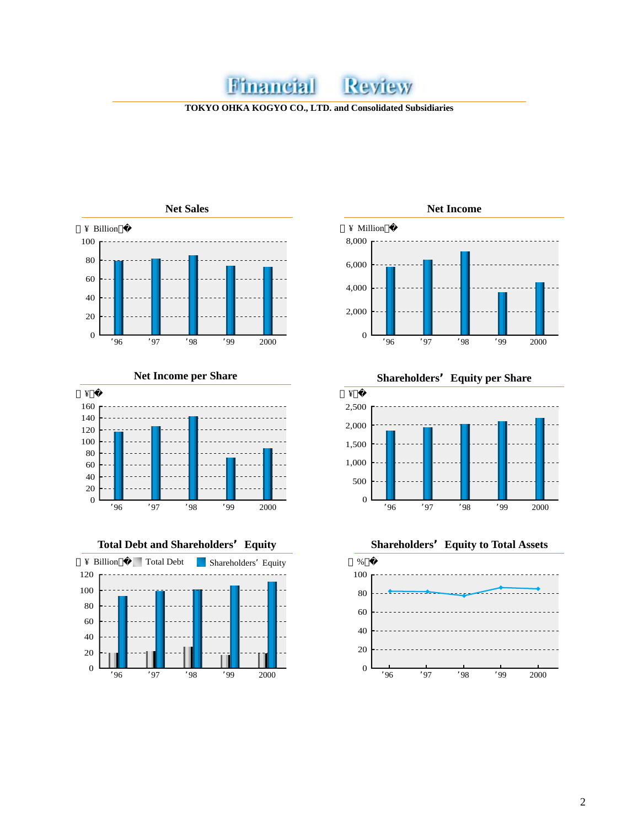#### Financial Review

**TOKYO OHKA KOGYO CO., LTD. and Consolidated Subsidiaries**









2,500 2,000 1,500 1,000 ¥ '<sup>96</sup> '<sup>97</sup> '<sup>98</sup> '99 2000 **Net Income per Share Shareholders'Equity per Share**

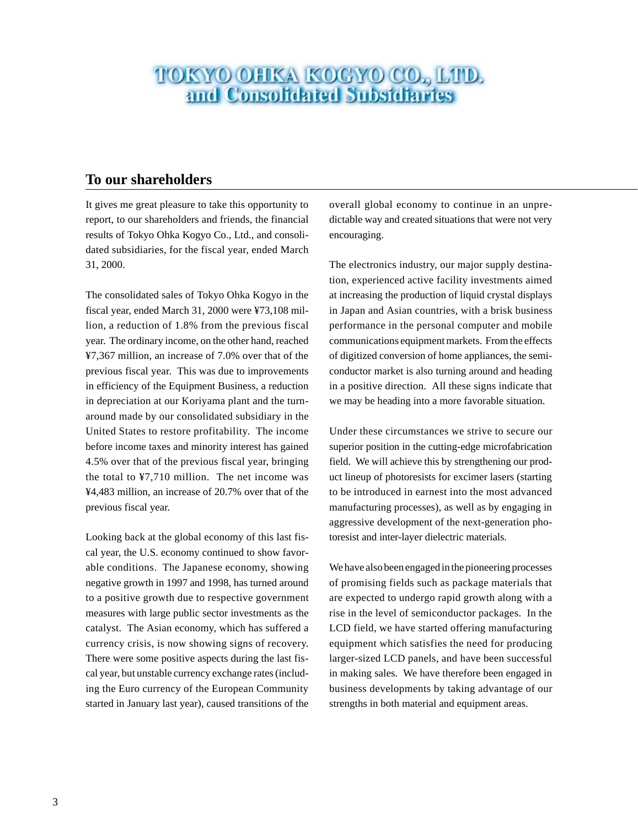# **TOKYO OHKA KOGYO CO., LTD.**<br>and Consolidated Subsidiaries

#### **To our shareholders**

It gives me great pleasure to take this opportunity to report, to our shareholders and friends, the financial results of Tokyo Ohka Kogyo Co., Ltd., and consolidated subsidiaries, for the fiscal year, ended March 31, 2000.

The consolidated sales of Tokyo Ohka Kogyo in the fiscal year, ended March 31, 2000 were ¥73,108 million, a reduction of 1.8% from the previous fiscal year. The ordinary income, on the other hand, reached ¥7,367 million, an increase of 7.0% over that of the previous fiscal year. This was due to improvements in efficiency of the Equipment Business, a reduction in depreciation at our Koriyama plant and the turnaround made by our consolidated subsidiary in the United States to restore profitability. The income before income taxes and minority interest has gained 4.5% over that of the previous fiscal year, bringing the total to ¥7,710 million. The net income was ¥4,483 million, an increase of 20.7% over that of the previous fiscal year.

Looking back at the global economy of this last fiscal year, the U.S. economy continued to show favorable conditions. The Japanese economy, showing negative growth in 1997 and 1998, has turned around to a positive growth due to respective government measures with large public sector investments as the catalyst. The Asian economy, which has suffered a currency crisis, is now showing signs of recovery. There were some positive aspects during the last fiscal year, but unstable currency exchange rates (including the Euro currency of the European Community started in January last year), caused transitions of the

overall global economy to continue in an unpredictable way and created situations that were not very encouraging.

The electronics industry, our major supply destination, experienced active facility investments aimed at increasing the production of liquid crystal displays in Japan and Asian countries, with a brisk business performance in the personal computer and mobile communications equipment markets. From the effects of digitized conversion of home appliances, the semiconductor market is also turning around and heading in a positive direction. All these signs indicate that we may be heading into a more favorable situation.

Under these circumstances we strive to secure our superior position in the cutting-edge microfabrication field. We will achieve this by strengthening our product lineup of photoresists for excimer lasers (starting to be introduced in earnest into the most advanced manufacturing processes), as well as by engaging in aggressive development of the next-generation photoresist and inter-layer dielectric materials.

We have also been engaged in the pioneering processes of promising fields such as package materials that are expected to undergo rapid growth along with a rise in the level of semiconductor packages. In the LCD field, we have started offering manufacturing equipment which satisfies the need for producing larger-sized LCD panels, and have been successful in making sales. We have therefore been engaged in business developments by taking advantage of our strengths in both material and equipment areas.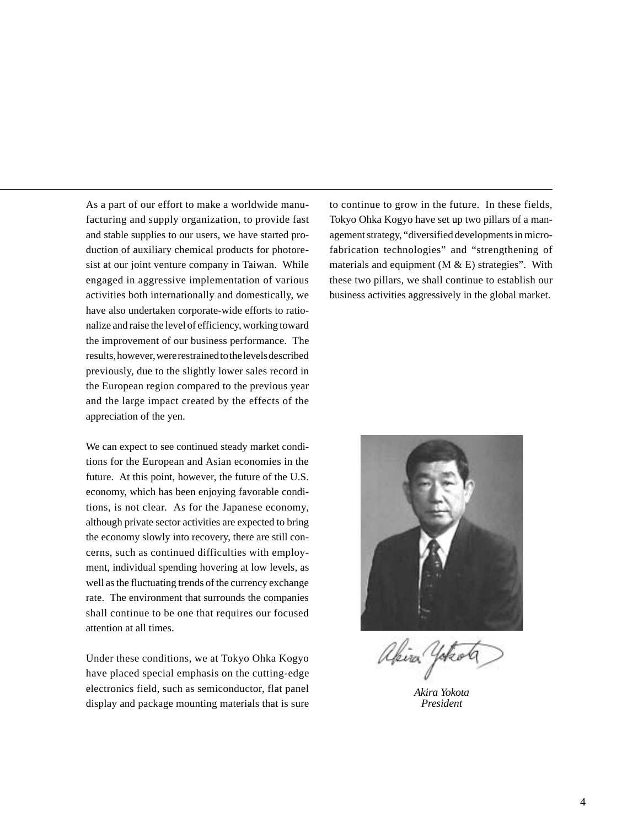As a part of our effort to make a worldwide manufacturing and supply organization, to provide fast and stable supplies to our users, we have started production of auxiliary chemical products for photoresist at our joint venture company in Taiwan. While engaged in aggressive implementation of various activities both internationally and domestically, we have also undertaken corporate-wide efforts to rationalize and raise the level of efficiency, working toward the improvement of our business performance. The results, however, were restrained to the levels described previously, due to the slightly lower sales record in the European region compared to the previous year and the large impact created by the effects of the appreciation of the yen.

We can expect to see continued steady market conditions for the European and Asian economies in the future. At this point, however, the future of the U.S. economy, which has been enjoying favorable conditions, is not clear. As for the Japanese economy, although private sector activities are expected to bring the economy slowly into recovery, there are still concerns, such as continued difficulties with employment, individual spending hovering at low levels, as well as the fluctuating trends of the currency exchange rate. The environment that surrounds the companies shall continue to be one that requires our focused attention at all times.

Under these conditions, we at Tokyo Ohka Kogyo have placed special emphasis on the cutting-edge electronics field, such as semiconductor, flat panel display and package mounting materials that is sure to continue to grow in the future. In these fields, Tokyo Ohka Kogyo have set up two pillars of a management strategy, "diversified developments in microfabrication technologies" and "strengthening of materials and equipment  $(M & E)$  strategies". With these two pillars, we shall continue to establish our business activities aggressively in the global market.



akira 4

*Akira Yokota President*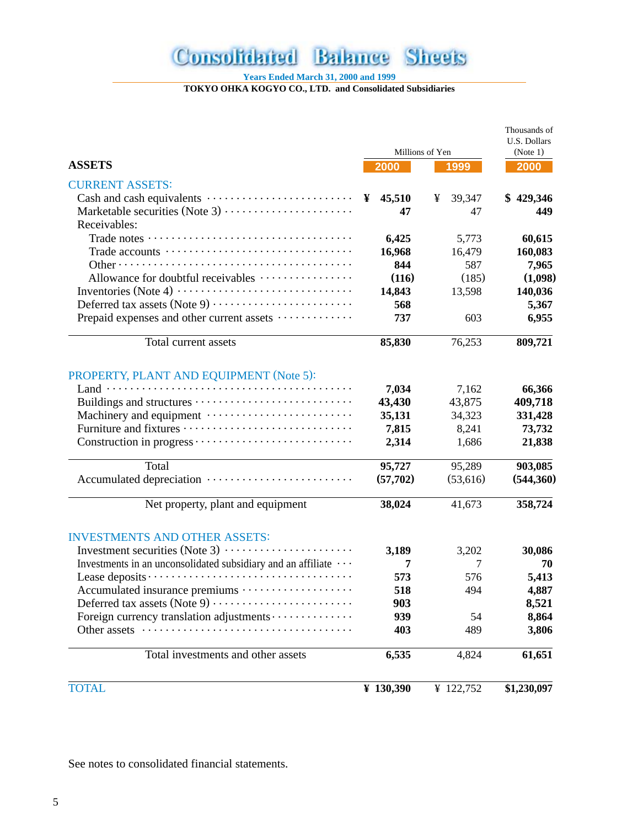#### **Consolidated Balance Sheets**

**Years Ended March 31, 2000 and 1999**

**TOKYO OHKA KOGYO CO., LTD. and Consolidated Subsidiaries**

|                                                              |             |                 | Thousands of<br>U.S. Dollars |
|--------------------------------------------------------------|-------------|-----------------|------------------------------|
|                                                              |             | Millions of Yen | (Note 1)                     |
| <b>ASSETS</b>                                                | 2000        | 1999            | 2000                         |
| <b>CURRENT ASSETS:</b>                                       |             |                 |                              |
|                                                              | 45,510<br>¥ | 39,347<br>¥     | \$429,346                    |
| Marketable securities (Note 3)                               | 47          | 47              | 449                          |
| Receivables:                                                 |             |                 |                              |
|                                                              | 6,425       | 5,773           | 60,615                       |
|                                                              | 16,968      | 16,479          | 160,083                      |
|                                                              | 844         | 587             | 7,965                        |
| Allowance for doubtful receivables                           | (116)       | (185)           | (1,098)                      |
|                                                              | 14,843      | 13,598          | 140,036                      |
|                                                              | 568         |                 | 5,367                        |
| Prepaid expenses and other current assets                    | 737         | 603             | 6,955                        |
| Total current assets                                         | 85,830      | 76,253          | 809,721                      |
| PROPERTY, PLANT AND EQUIPMENT (Note 5):                      |             |                 |                              |
|                                                              | 7,034       | 7,162           | 66,366                       |
|                                                              | 43,430      | 43,875          | 409,718                      |
|                                                              | 35,131      | 34,323          | 331,428                      |
|                                                              | 7,815       | 8,241           | 73,732                       |
|                                                              | 2,314       | 1,686           | 21,838                       |
| Total                                                        | 95,727      | 95,289          | 903,085                      |
| Accumulated depreciation                                     | (57,702)    | (53,616)        | (544,360)                    |
| Net property, plant and equipment                            | 38,024      | 41,673          | 358,724                      |
| <b>INVESTMENTS AND OTHER ASSETS:</b>                         |             |                 |                              |
|                                                              | 3,189       | 3,202           | 30,086                       |
| Investments in an unconsolidated subsidiary and an affiliate | 7           | 7               | 70                           |
|                                                              | 573         | 576             | 5,413                        |
| Accumulated insurance premiums                               | 518         | 494             | 4,887                        |
|                                                              | 903         |                 | 8,521                        |
| Foreign currency translation adjustments                     | 939         | 54              | 8,864                        |
| Other assets<br>.                                            | 403         | 489             | 3,806                        |
| Total investments and other assets                           | 6,535       | 4,824           | 61,651                       |
| <b>TOTAL</b>                                                 | ¥ $130,390$ | ¥ 122,752       | \$1,230,097                  |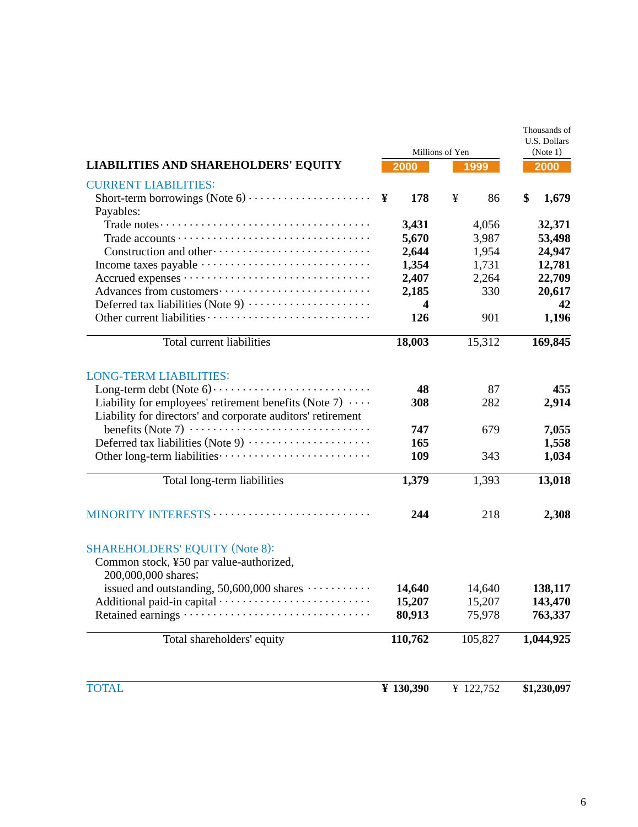|                                                                                                                               | Millions of Yen | Thousands of<br>U.S. Dollars<br>(Note 1) |             |
|-------------------------------------------------------------------------------------------------------------------------------|-----------------|------------------------------------------|-------------|
| <b>LIABILITIES AND SHAREHOLDERS' EQUITY</b>                                                                                   | 2000            | 1999                                     | 2000        |
| <b>CURRENT LIABILITIES:</b>                                                                                                   |                 |                                          |             |
| Short-term borrowings (Note $6) \cdots \cdots \cdots \cdots \cdots \cdots$ )<br>Payables:                                     | 178             | ¥<br>86                                  | \$<br>1,679 |
|                                                                                                                               | 3,431           | 4,056                                    | 32,371      |
|                                                                                                                               | 5,670           | 3,987                                    | 53,498      |
|                                                                                                                               | 2,644           | 1,954                                    | 24,947      |
|                                                                                                                               | 1,354           | 1,731                                    | 12,781      |
|                                                                                                                               | 2,407           | 2,264                                    | 22,709      |
|                                                                                                                               | 2,185           | 330                                      | 20,617      |
| Deferred tax liabilities (Note 9)                                                                                             | 4               |                                          | 42          |
|                                                                                                                               | 126             | 901                                      | 1,196       |
| Total current liabilities                                                                                                     | 18,003          | 15,312                                   | 169,845     |
| <b>LONG-TERM LIABILITIES:</b>                                                                                                 |                 |                                          |             |
|                                                                                                                               | 48              | 87                                       | 455         |
| Liability for employees' retirement benefits (Note 7) $\cdots$<br>Liability for directors' and corporate auditors' retirement | 308             | 282                                      | 2,914       |
|                                                                                                                               | 747             | 679                                      | 7,055       |
| Deferred tax liabilities (Note 9)                                                                                             | 165             |                                          | 1,558       |
|                                                                                                                               | 109             | 343                                      | 1,034       |
| Total long-term liabilities                                                                                                   | 1,379           | 1,393                                    | 13,018      |
| MINORITY INTERESTS                                                                                                            | 244             | 218                                      | 2,308       |
| <b>SHAREHOLDERS' EQUITY (Note 8):</b>                                                                                         |                 |                                          |             |
| Common stock, ¥50 par value-authorized,<br>200,000,000 shares;                                                                |                 |                                          |             |
| issued and outstanding, $50,600,000$ shares $\cdots \cdots \cdots$                                                            | 14,640          | 14,640                                   | 138,117     |
|                                                                                                                               | 15,207          | 15,207                                   | 143,470     |
| Retained earnings ·                                                                                                           | 80,913          | 75,978                                   | 763,337     |
| Total shareholders' equity                                                                                                    | 110,762         | 105,827                                  | 1,044,925   |
| <b>TOTAL</b>                                                                                                                  | ¥ 130,390       | ¥ 122,752                                | \$1,230,097 |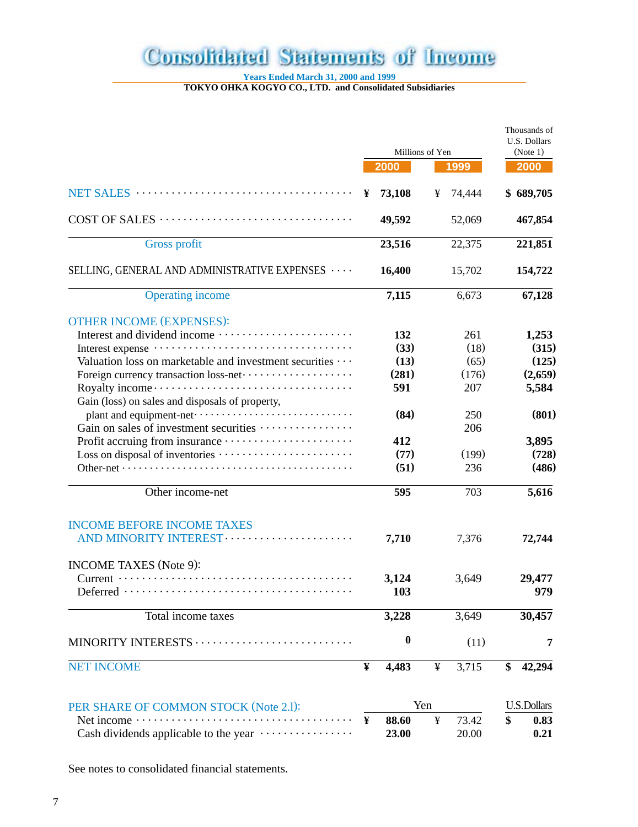## **Consolidated Statements of Income**

**Years Ended March 31, 2000 and 1999**

**TOKYO OHKA KOGYO CO., LTD. and Consolidated Subsidiaries**

|                                                                                         |   |                         |     |        | Thousands of<br>U.S. Dollars |
|-----------------------------------------------------------------------------------------|---|-------------------------|-----|--------|------------------------------|
|                                                                                         |   | Millions of Yen<br>2000 |     | 1999   | (Note 1)<br>2000             |
|                                                                                         | ¥ | 73,108                  | ¥   | 74,444 | \$689,705                    |
|                                                                                         |   | 49,592                  |     | 52,069 | 467,854                      |
| <b>Gross profit</b>                                                                     |   | 23,516                  |     | 22,375 | 221,851                      |
| SELLING, GENERAL AND ADMINISTRATIVE EXPENSES                                            |   | 16,400                  |     | 15,702 | 154,722                      |
| <b>Operating income</b>                                                                 |   | 7,115                   |     | 6,673  | 67,128                       |
| <b>OTHER INCOME (EXPENSES):</b>                                                         |   |                         |     |        |                              |
|                                                                                         |   | 132                     |     | 261    | 1,253                        |
|                                                                                         |   | (33)                    |     | (18)   | (315)                        |
| Valuation loss on marketable and investment securities                                  |   | (13)                    |     | (65)   | (125)                        |
| Foreign currency transaction loss-net ·····················                             |   | (281)                   |     | (176)  | (2,659)                      |
|                                                                                         |   | 591                     |     | 207    | 5,584                        |
| Gain (loss) on sales and disposals of property,                                         |   |                         |     |        |                              |
|                                                                                         |   | (84)                    |     | 250    | (801)                        |
| Gain on sales of investment securities                                                  |   |                         |     | 206    |                              |
|                                                                                         |   | 412                     |     |        |                              |
|                                                                                         |   |                         |     |        | 3,895                        |
|                                                                                         |   | (77)                    |     | (199)  | (728)                        |
|                                                                                         |   | (51)                    |     | 236    | (486)                        |
| Other income-net                                                                        |   | 595                     |     | 703    | 5,616                        |
| <b>INCOME BEFORE INCOME TAXES</b>                                                       |   |                         |     |        |                              |
|                                                                                         |   | 7,710                   |     | 7,376  | 72,744                       |
| <b>INCOME TAXES</b> (Note 9):                                                           |   |                         |     |        |                              |
| $Deferred \cdots \cdots \cdots \cdots \cdots \cdots \cdots \cdots \cdots \cdots \cdots$ |   | 3,124<br>103            |     | 3,649  | 29,477<br>979                |
|                                                                                         |   |                         |     |        |                              |
| Total income taxes                                                                      |   | 3,228                   |     | 3,649  | 30,457                       |
| MINORITY INTERESTS                                                                      |   | $\boldsymbol{0}$        |     | (11)   | 7                            |
| <b>NET INCOME</b>                                                                       | ¥ | 4,483                   | ¥   | 3,715  | \$<br>42,294                 |
| PER SHARE OF COMMON STOCK (Note 2.1):                                                   |   |                         | Yen |        | <b>U.S.Dollars</b>           |
|                                                                                         | ¥ | 88.60                   | ¥   | 73.42  | \$<br>0.83                   |
| Cash dividends applicable to the year                                                   |   | 23.00                   |     | 20.00  | 0.21                         |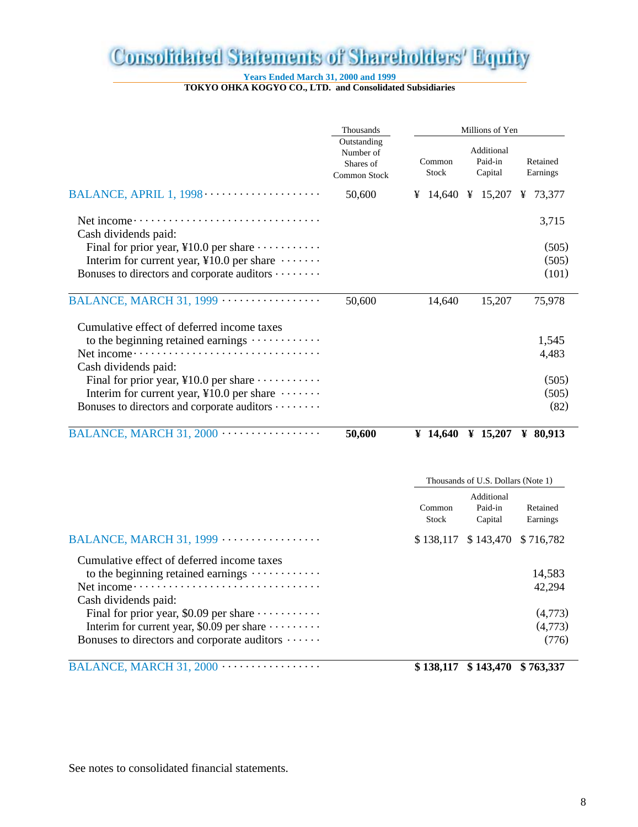## **Consolidated Statements of Shareholders' Equity**

**Years Ended March 31, 2000 and 1999**

**TOKYO OHKA KOGYO CO., LTD. and Consolidated Subsidiaries**

|                                                                                                           | Thousands                                             |                 | Millions of Yen                    |                      |
|-----------------------------------------------------------------------------------------------------------|-------------------------------------------------------|-----------------|------------------------------------|----------------------|
|                                                                                                           | Outstanding<br>Number of<br>Shares of<br>Common Stock | Common<br>Stock | Additional<br>Paid-in<br>Capital   | Retained<br>Earnings |
|                                                                                                           | 50,600                                                |                 | ¥ 14,640 ¥ 15,207 ¥ 73,377         |                      |
| Cash dividends paid:                                                                                      |                                                       |                 |                                    | 3,715                |
| Final for prior year, $\text{\&}10.0$ per share $\cdots \cdots \cdots$                                    |                                                       |                 |                                    | (505)                |
| Interim for current year, ¥10.0 per share $\dots \dots$                                                   |                                                       |                 |                                    | (505)                |
| Bonuses to directors and corporate auditors                                                               |                                                       |                 |                                    | (101)                |
|                                                                                                           | 50,600                                                | 14,640          | 15,207                             | 75,978               |
| Cumulative effect of deferred income taxes                                                                |                                                       |                 |                                    |                      |
| to the beginning retained earnings $\cdots$                                                               |                                                       |                 |                                    | 1,545                |
| Net income ··<br>. <b>.</b> .                                                                             |                                                       |                 |                                    | 4,483                |
| Cash dividends paid:                                                                                      |                                                       |                 |                                    |                      |
| Final for prior year, $\text{\&}10.0$ per share $\cdots \cdots \cdots$                                    |                                                       |                 |                                    | (505)                |
| Interim for current year, ¥10.0 per share $\dots \dots$<br>Bonuses to directors and corporate auditors    |                                                       |                 |                                    | (505)<br>(82)        |
|                                                                                                           |                                                       |                 |                                    |                      |
|                                                                                                           | 50,600                                                |                 | ¥ 14,640 ¥ 15,207 ¥ 80,913         |                      |
|                                                                                                           |                                                       |                 | Thousands of U.S. Dollars (Note 1) |                      |
|                                                                                                           |                                                       |                 | Additional                         |                      |
|                                                                                                           |                                                       | Common<br>Stock | Paid-in<br>Capital                 | Retained<br>Earnings |
|                                                                                                           |                                                       | \$138,117       | \$143,470                          | \$716,782            |
| Cumulative effect of deferred income taxes                                                                |                                                       |                 |                                    |                      |
| to the beginning retained earnings $\cdots$                                                               |                                                       |                 |                                    | 14,583               |
|                                                                                                           |                                                       |                 |                                    | 42,294               |
| Cash dividends paid:                                                                                      |                                                       |                 |                                    |                      |
| Final for prior year, \$0.09 per share $\cdots$                                                           |                                                       |                 |                                    | (4,773)<br>(4,773)   |
| Interim for current year, \$0.09 per share $\cdots \cdots$<br>Bonuses to directors and corporate auditors |                                                       |                 |                                    | (776)                |
|                                                                                                           |                                                       |                 |                                    |                      |

BALANCE, MARCH 31, 2000 ................. **\$ 138,117 \$ 143,470 \$ 763,337**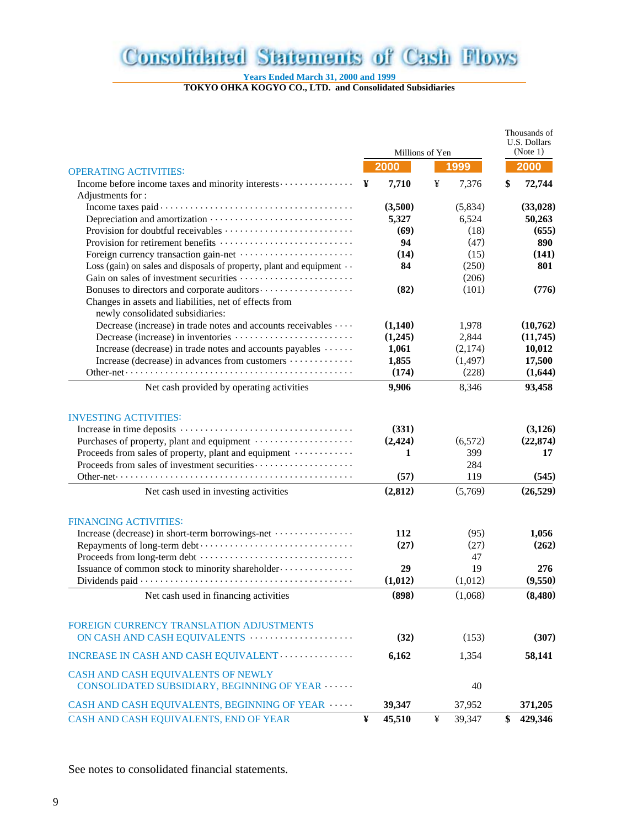## **Consolidated Statements of Cash Flows**

**Years Ended March 31, 2000 and 1999**

**TOKYO OHKA KOGYO CO., LTD. and Consolidated Subsidiaries**

|                                                                                            |   |                 | Thousands of<br>U.S. Dollars |          |    |           |
|--------------------------------------------------------------------------------------------|---|-----------------|------------------------------|----------|----|-----------|
|                                                                                            |   | Millions of Yen |                              |          |    | (Note 1)  |
| <b>OPERATING ACTIVITIES:</b>                                                               |   | 2000            |                              | 1999     |    | 2000      |
| Income before income taxes and minority interests                                          | ¥ | 7,710           | ¥                            | 7,376    | \$ | 72,744    |
| Adjustments for:                                                                           |   |                 |                              |          |    |           |
|                                                                                            |   | (3,500)         |                              | (5,834)  |    | (33,028)  |
|                                                                                            |   | 5,327           |                              | 6,524    |    | 50,263    |
|                                                                                            |   | (69)            |                              | (18)     |    | (655)     |
|                                                                                            |   | 94              |                              | (47)     |    | 890       |
|                                                                                            |   | (14)            |                              | (15)     |    | (141)     |
| Loss (gain) on sales and disposals of property, plant and equipment $\cdots$               |   | 84              |                              | (250)    |    | 801       |
|                                                                                            |   |                 |                              | (206)    |    |           |
|                                                                                            |   | (82)            |                              | (101)    |    | (776)     |
| Changes in assets and liabilities, net of effects from<br>newly consolidated subsidiaries: |   |                 |                              |          |    |           |
| Decrease (increase) in trade notes and accounts receivables                                |   | (1,140)         |                              | 1,978    |    | (10,762)  |
|                                                                                            |   | (1,245)         |                              | 2,844    |    | (11,745)  |
| Increase (decrease) in trade notes and accounts payables                                   |   | 1,061           |                              | (2,174)  |    | 10,012    |
| Increase (decrease) in advances from customers                                             |   | 1,855           |                              | (1, 497) |    | 17,500    |
|                                                                                            |   | (174)           |                              | (228)    |    | (1,644)   |
| Net cash provided by operating activities                                                  |   | 9,906           |                              | 8,346    |    | 93,458    |
| <b>INVESTING ACTIVITIES:</b>                                                               |   |                 |                              |          |    |           |
|                                                                                            |   | (331)           |                              |          |    | (3,126)   |
|                                                                                            |   | (2, 424)        |                              | (6, 572) |    | (22, 874) |
| Proceeds from sales of property, plant and equipment                                       |   | 1               |                              | 399      |    | 17        |
|                                                                                            |   |                 |                              | 284      |    |           |
| Other-net…………………………………………………………                                                            |   | (57)            |                              | 119      |    | (545)     |
| Net cash used in investing activities                                                      |   | (2,812)         |                              | (5,769)  |    | (26, 529) |
| <b>FINANCING ACTIVITIES:</b>                                                               |   |                 |                              |          |    |           |
| Increase (decrease) in short-term borrowings-net                                           |   | 112             |                              | (95)     |    | 1,056     |
|                                                                                            |   | (27)            |                              | (27)     |    | (262)     |
|                                                                                            |   |                 |                              | 47       |    |           |
| Issuance of common stock to minority shareholder                                           |   | 29              |                              | 19       |    | 276       |
|                                                                                            |   | (1,012)         |                              | (1,012)  |    | (9,550)   |
| Net cash used in financing activities                                                      |   | (898)           |                              | (1,068)  |    | (8,480)   |
|                                                                                            |   |                 |                              |          |    |           |
| FOREIGN CURRENCY TRANSLATION ADJUSTMENTS                                                   |   |                 |                              |          |    |           |
| ON CASH AND CASH EQUIVALENTS                                                               |   | (32)            |                              | (153)    |    | (307)     |
| INCREASE IN CASH AND CASH EQUIVALENT                                                       |   | 6,162           |                              | 1,354    |    | 58,141    |
| CASH AND CASH EQUIVALENTS OF NEWLY<br>CONSOLIDATED SUBSIDIARY, BEGINNING OF YEAR           |   |                 |                              | 40       |    |           |
| CASH AND CASH EQUIVALENTS, BEGINNING OF YEAR                                               |   | 39,347          |                              | 37,952   |    | 371,205   |
| CASH AND CASH EQUIVALENTS, END OF YEAR                                                     | ¥ | 45,510          | ¥                            | 39,347   | \$ | 429,346   |
|                                                                                            |   |                 |                              |          |    |           |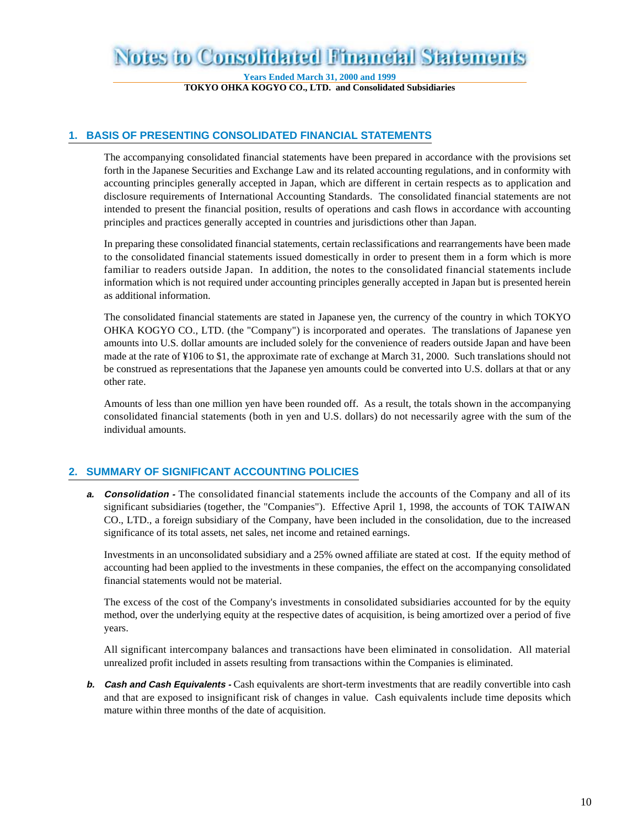### **Notes to Consolidated Financial Statements**

**Years Ended March 31, 2000 and 1999 TOKYO OHKA KOGYO CO., LTD. and Consolidated Subsidiaries**

#### **1. BASIS OF PRESENTING CONSOLIDATED FINANCIAL STATEMENTS**

The accompanying consolidated financial statements have been prepared in accordance with the provisions set forth in the Japanese Securities and Exchange Law and its related accounting regulations, and in conformity with accounting principles generally accepted in Japan, which are different in certain respects as to application and disclosure requirements of International Accounting Standards. The consolidated financial statements are not intended to present the financial position, results of operations and cash flows in accordance with accounting principles and practices generally accepted in countries and jurisdictions other than Japan.

In preparing these consolidated financial statements, certain reclassifications and rearrangements have been made to the consolidated financial statements issued domestically in order to present them in a form which is more familiar to readers outside Japan. In addition, the notes to the consolidated financial statements include information which is not required under accounting principles generally accepted in Japan but is presented herein as additional information.

The consolidated financial statements are stated in Japanese yen, the currency of the country in which TOKYO OHKA KOGYO CO., LTD. (the "Company") is incorporated and operates. The translations of Japanese yen amounts into U.S. dollar amounts are included solely for the convenience of readers outside Japan and have been made at the rate of ¥106 to \$1, the approximate rate of exchange at March 31, 2000. Such translations should not be construed as representations that the Japanese yen amounts could be converted into U.S. dollars at that or any other rate.

Amounts of less than one million yen have been rounded off. As a result, the totals shown in the accompanying consolidated financial statements (both in yen and U.S. dollars) do not necessarily agree with the sum of the individual amounts.

#### **2. SUMMARY OF SIGNIFICANT ACCOUNTING POLICIES**

**a. Consolidation** - The consolidated financial statements include the accounts of the Company and all of its significant subsidiaries (together, the "Companies"). Effective April 1, 1998, the accounts of TOK TAIWAN CO., LTD., a foreign subsidiary of the Company, have been included in the consolidation, due to the increased significance of its total assets, net sales, net income and retained earnings.

Investments in an unconsolidated subsidiary and a 25% owned affiliate are stated at cost. If the equity method of accounting had been applied to the investments in these companies, the effect on the accompanying consolidated financial statements would not be material.

The excess of the cost of the Company's investments in consolidated subsidiaries accounted for by the equity method, over the underlying equity at the respective dates of acquisition, is being amortized over a period of five years.

All significant intercompany balances and transactions have been eliminated in consolidation. All material unrealized profit included in assets resulting from transactions within the Companies is eliminated.

**b. Cash and Cash Equivalents -** Cash equivalents are short-term investments that are readily convertible into cash and that are exposed to insignificant risk of changes in value. Cash equivalents include time deposits which mature within three months of the date of acquisition.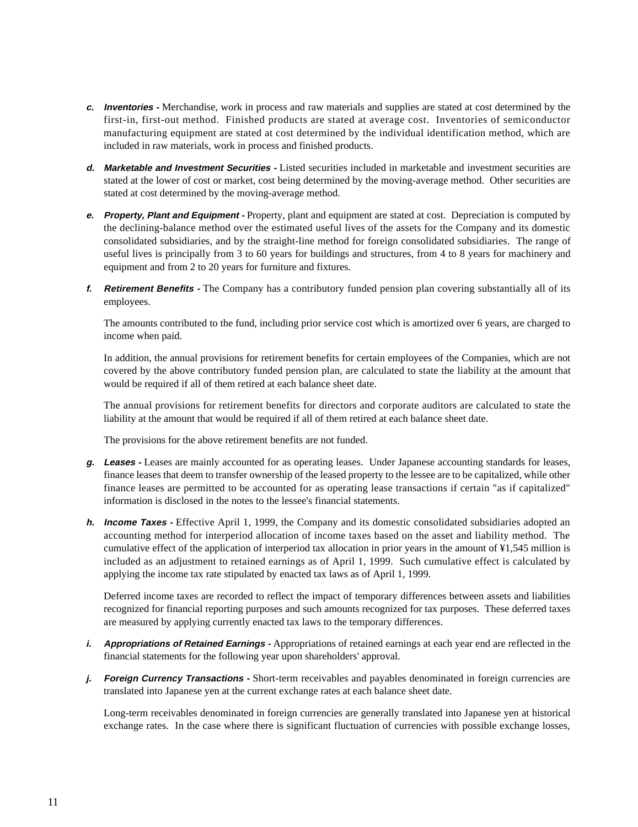- **c. Inventories** Merchandise, work in process and raw materials and supplies are stated at cost determined by the first-in, first-out method. Finished products are stated at average cost. Inventories of semiconductor manufacturing equipment are stated at cost determined by the individual identification method, which are included in raw materials, work in process and finished products.
- **d. Marketable and Investment Securities** Listed securities included in marketable and investment securities are stated at the lower of cost or market, cost being determined by the moving-average method. Other securities are stated at cost determined by the moving-average method.
- **e. Property, Plant and Equipment** Property, plant and equipment are stated at cost. Depreciation is computed by the declining-balance method over the estimated useful lives of the assets for the Company and its domestic consolidated subsidiaries, and by the straight-line method for foreign consolidated subsidiaries. The range of useful lives is principally from 3 to 60 years for buildings and structures, from 4 to 8 years for machinery and equipment and from 2 to 20 years for furniture and fixtures.
- **f. Retirement Benefits** The Company has a contributory funded pension plan covering substantially all of its employees.

The amounts contributed to the fund, including prior service cost which is amortized over 6 years, are charged to income when paid.

In addition, the annual provisions for retirement benefits for certain employees of the Companies, which are not covered by the above contributory funded pension plan, are calculated to state the liability at the amount that would be required if all of them retired at each balance sheet date.

The annual provisions for retirement benefits for directors and corporate auditors are calculated to state the liability at the amount that would be required if all of them retired at each balance sheet date.

The provisions for the above retirement benefits are not funded.

- **g. Leases** Leases are mainly accounted for as operating leases. Under Japanese accounting standards for leases, finance leases that deem to transfer ownership of the leased property to the lessee are to be capitalized, while other finance leases are permitted to be accounted for as operating lease transactions if certain "as if capitalized" information is disclosed in the notes to the lessee's financial statements.
- **h. Income Taxes** Effective April 1, 1999, the Company and its domestic consolidated subsidiaries adopted an accounting method for interperiod allocation of income taxes based on the asset and liability method. The cumulative effect of the application of interperiod tax allocation in prior years in the amount of ¥1,545 million is included as an adjustment to retained earnings as of April 1, 1999. Such cumulative effect is calculated by applying the income tax rate stipulated by enacted tax laws as of April 1, 1999.

Deferred income taxes are recorded to reflect the impact of temporary differences between assets and liabilities recognized for financial reporting purposes and such amounts recognized for tax purposes. These deferred taxes are measured by applying currently enacted tax laws to the temporary differences.

- *i.* **Appropriations of Retained Earnings -** Appropriations of retained earnings at each year end are reflected in the financial statements for the following year upon shareholders' approval.
- **j. Foreign Currency Transactions** Short-term receivables and payables denominated in foreign currencies are translated into Japanese yen at the current exchange rates at each balance sheet date.

Long-term receivables denominated in foreign currencies are generally translated into Japanese yen at historical exchange rates. In the case where there is significant fluctuation of currencies with possible exchange losses,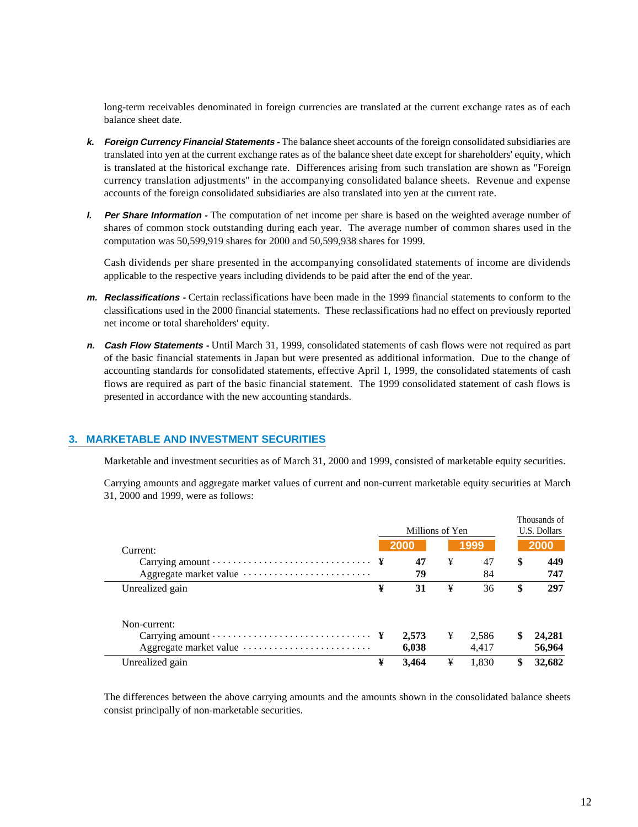long-term receivables denominated in foreign currencies are translated at the current exchange rates as of each balance sheet date.

- **k. Foreign Currency Financial Statements** The balance sheet accounts of the foreign consolidated subsidiaries are translated into yen at the current exchange rates as of the balance sheet date except for shareholders' equity, which is translated at the historical exchange rate. Differences arising from such translation are shown as "Foreign currency translation adjustments" in the accompanying consolidated balance sheets. Revenue and expense accounts of the foreign consolidated subsidiaries are also translated into yen at the current rate.
- **l. Per Share Information** The computation of net income per share is based on the weighted average number of shares of common stock outstanding during each year. The average number of common shares used in the computation was 50,599,919 shares for 2000 and 50,599,938 shares for 1999.

Cash dividends per share presented in the accompanying consolidated statements of income are dividends applicable to the respective years including dividends to be paid after the end of the year.

- **m. Reclassifications** Certain reclassifications have been made in the 1999 financial statements to conform to the classifications used in the 2000 financial statements. These reclassifications had no effect on previously reported net income or total shareholders' equity.
- **n. Cash Flow Statements** Until March 31, 1999, consolidated statements of cash flows were not required as part of the basic financial statements in Japan but were presented as additional information. Due to the change of accounting standards for consolidated statements, effective April 1, 1999, the consolidated statements of cash flows are required as part of the basic financial statement. The 1999 consolidated statement of cash flows is presented in accordance with the new accounting standards.

#### **3. MARKETABLE AND INVESTMENT SECURITIES**

Marketable and investment securities as of March 31, 2000 and 1999, consisted of marketable equity securities.

Carrying amounts and aggregate market values of current and non-current marketable equity securities at March 31, 2000 and 1999, were as follows:

|                                                                                                   |   | Millions of Yen | Thousands of<br>U.S. Dollars |          |    |            |
|---------------------------------------------------------------------------------------------------|---|-----------------|------------------------------|----------|----|------------|
| Current:                                                                                          |   | 2000            |                              | 1999     |    | 2000       |
| Carrying amount $\dots \dots \dots \dots \dots \dots \dots \dots \dots$<br>Aggregate market value |   | 47<br>79        | ¥                            | 47<br>84 | \$ | 449<br>747 |
| Unrealized gain                                                                                   | ¥ | 31              | ¥                            | 36       | \$ | 297        |
| Non-current:                                                                                      |   |                 |                              |          |    |            |
|                                                                                                   |   | 2,573           | ¥                            | 2,586    | \$ | 24,281     |
|                                                                                                   |   | 6,038           |                              | 4.417    |    | 56,964     |
| Unrealized gain                                                                                   | ¥ | 3.464           | ¥                            | 1.830    |    | 32,682     |

The differences between the above carrying amounts and the amounts shown in the consolidated balance sheets consist principally of non-marketable securities.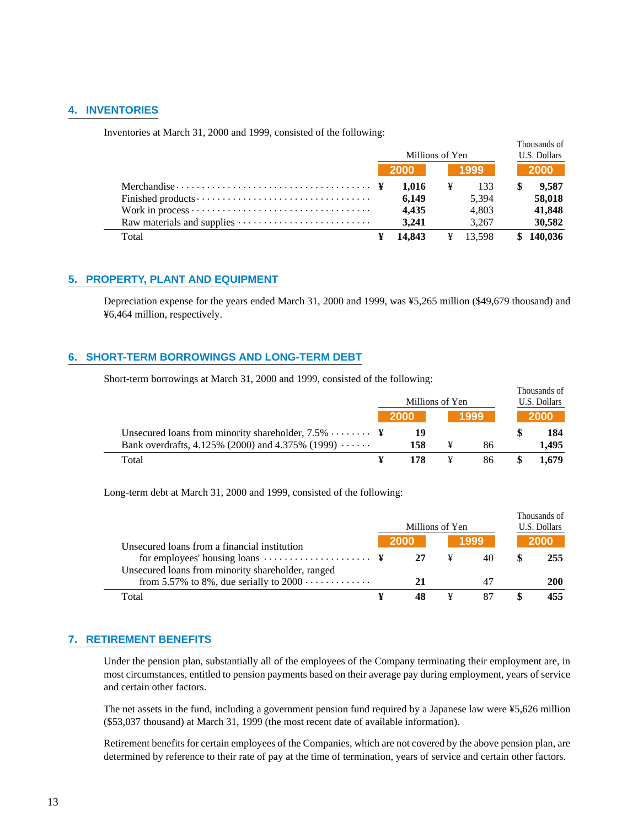#### **4. INVENTORIES**

Inventories at March 31, 2000 and 1999, consisted of the following:

|                                                                                     | Millions of Yen |        |   |        | Thousands of<br>U.S. Dollars |           |  |
|-------------------------------------------------------------------------------------|-----------------|--------|---|--------|------------------------------|-----------|--|
|                                                                                     |                 | - 2000 |   | 1999   |                              | 2000      |  |
| Merchandise $\cdots \cdots \cdots \cdots \cdots \cdots \cdots \cdots \cdots \cdots$ |                 | 1.016  | ¥ | 133    |                              | 9.587     |  |
|                                                                                     |                 | 6.149  |   | 5.394  |                              | 58,018    |  |
|                                                                                     |                 | 4.435  |   | 4.803  |                              | 41,848    |  |
|                                                                                     |                 | 3.241  |   | 3.267  |                              | 30,582    |  |
| Total                                                                               |                 | 14.843 | ¥ | 13.598 |                              | \$140,036 |  |

#### **5. PROPERTY, PLANT AND EQUIPMENT**

Depreciation expense for the years ended March 31, 2000 and 1999, was ¥5,265 million (\$49,679 thousand) and ¥6,464 million, respectively.

#### **6. SHORT-TERM BORROWINGS AND LONG-TERM DEBT**

Short-term borrowings at March 31, 2000 and 1999, consisted of the following:

|                                                           |             | Millions of Yen |      | Thousands of<br>U.S. Dollars |
|-----------------------------------------------------------|-------------|-----------------|------|------------------------------|
|                                                           | <b>2000</b> |                 | 1999 | 2000                         |
| Unsecured loans from minority shareholder, $7.5\%$ ¥      |             |                 |      | 184                          |
| Bank overdrafts, 4.125% (2000) and 4.375% (1999) $\cdots$ | 158         |                 | 86   | 1.495                        |
| Total                                                     | 178         |                 | 86   | 1.679                        |

Long-term debt at March 31, 2000 and 1999, consisted of the following:

|                                                                                                                      | Millions of Yen | Thousands of<br>U.S. Dollars |      |  |            |
|----------------------------------------------------------------------------------------------------------------------|-----------------|------------------------------|------|--|------------|
|                                                                                                                      | <b>2000</b>     |                              | 1999 |  | 2000       |
| Unsecured loans from a financial institution<br>for employees' housing loans $\dots \dots \dots \dots \dots \dots$ ¥ | 27              | ¥                            | 40   |  | 255        |
| Unsecured loans from minority shareholder, ranged                                                                    |                 |                              |      |  |            |
| from 5.57% to 8%, due serially to $2000 \cdots \cdots \cdots$                                                        | 21              |                              |      |  | <b>200</b> |
| Total                                                                                                                |                 |                              |      |  | 455        |

#### **7. RETIREMENT BENEFITS**

Under the pension plan, substantially all of the employees of the Company terminating their employment are, in most circumstances, entitled to pension payments based on their average pay during employment, years of service and certain other factors.

The net assets in the fund, including a government pension fund required by a Japanese law were ¥5,626 million (\$53,037 thousand) at March 31, 1999 (the most recent date of available information).

Retirement benefits for certain employees of the Companies, which are not covered by the above pension plan, are determined by reference to their rate of pay at the time of termination, years of service and certain other factors.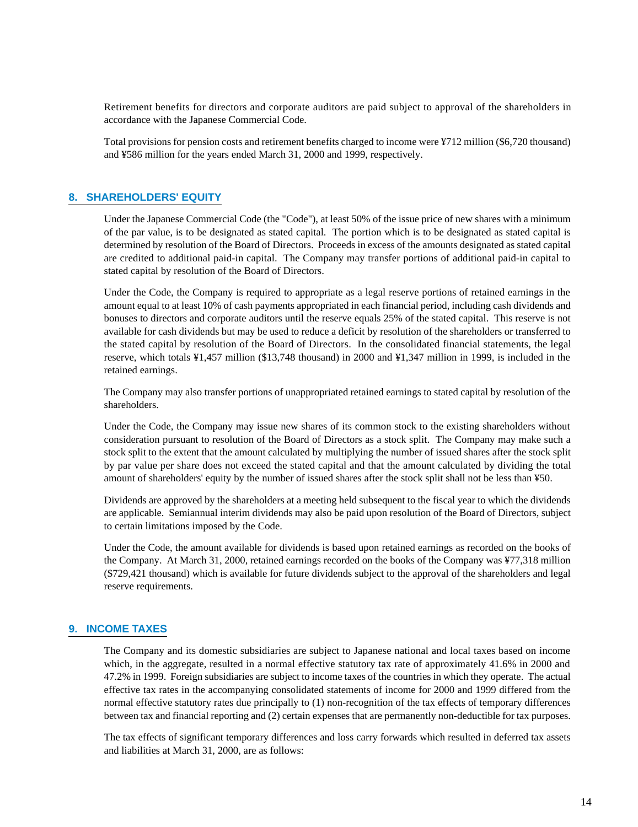Retirement benefits for directors and corporate auditors are paid subject to approval of the shareholders in accordance with the Japanese Commercial Code.

Total provisions for pension costs and retirement benefits charged to income were ¥712 million (\$6,720 thousand) and ¥586 million for the years ended March 31, 2000 and 1999, respectively.

#### **8. SHAREHOLDERS' EQUITY**

Under the Japanese Commercial Code (the "Code"), at least 50% of the issue price of new shares with a minimum of the par value, is to be designated as stated capital. The portion which is to be designated as stated capital is determined by resolution of the Board of Directors. Proceeds in excess of the amounts designated as stated capital are credited to additional paid-in capital. The Company may transfer portions of additional paid-in capital to stated capital by resolution of the Board of Directors.

Under the Code, the Company is required to appropriate as a legal reserve portions of retained earnings in the amount equal to at least 10% of cash payments appropriated in each financial period, including cash dividends and bonuses to directors and corporate auditors until the reserve equals 25% of the stated capital. This reserve is not available for cash dividends but may be used to reduce a deficit by resolution of the shareholders or transferred to the stated capital by resolution of the Board of Directors. In the consolidated financial statements, the legal reserve, which totals ¥1,457 million (\$13,748 thousand) in 2000 and ¥1,347 million in 1999, is included in the retained earnings.

The Company may also transfer portions of unappropriated retained earnings to stated capital by resolution of the shareholders.

Under the Code, the Company may issue new shares of its common stock to the existing shareholders without consideration pursuant to resolution of the Board of Directors as a stock split. The Company may make such a stock split to the extent that the amount calculated by multiplying the number of issued shares after the stock split by par value per share does not exceed the stated capital and that the amount calculated by dividing the total amount of shareholders' equity by the number of issued shares after the stock split shall not be less than ¥50.

Dividends are approved by the shareholders at a meeting held subsequent to the fiscal year to which the dividends are applicable. Semiannual interim dividends may also be paid upon resolution of the Board of Directors, subject to certain limitations imposed by the Code.

Under the Code, the amount available for dividends is based upon retained earnings as recorded on the books of the Company. At March 31, 2000, retained earnings recorded on the books of the Company was ¥77,318 million (\$729,421 thousand) which is available for future dividends subject to the approval of the shareholders and legal reserve requirements.

#### **9. INCOME TAXES**

The Company and its domestic subsidiaries are subject to Japanese national and local taxes based on income which, in the aggregate, resulted in a normal effective statutory tax rate of approximately 41.6% in 2000 and 47.2% in 1999. Foreign subsidiaries are subject to income taxes of the countries in which they operate. The actual effective tax rates in the accompanying consolidated statements of income for 2000 and 1999 differed from the normal effective statutory rates due principally to (1) non-recognition of the tax effects of temporary differences between tax and financial reporting and (2) certain expenses that are permanently non-deductible for tax purposes.

The tax effects of significant temporary differences and loss carry forwards which resulted in deferred tax assets and liabilities at March 31, 2000, are as follows: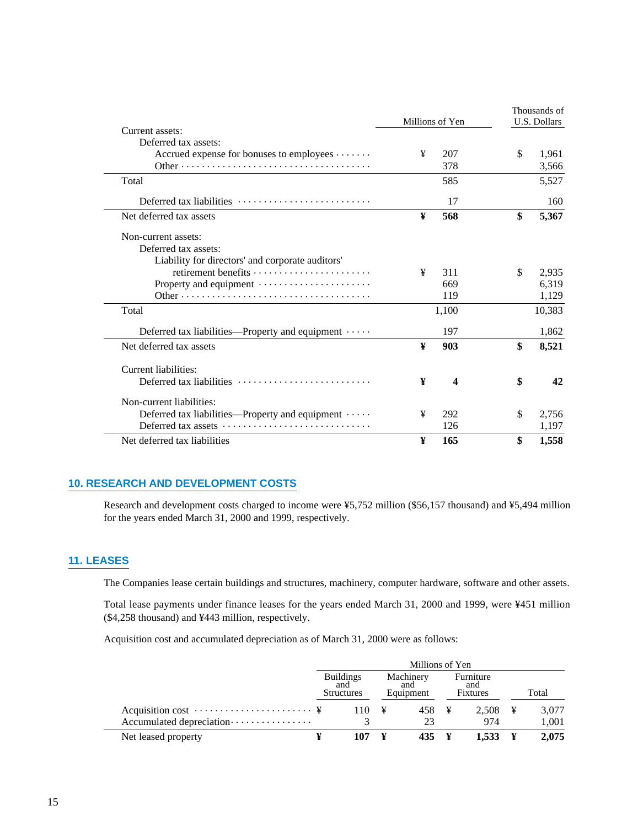| Millions of Yen                                                               |   |       | Thousands of |                     |  |
|-------------------------------------------------------------------------------|---|-------|--------------|---------------------|--|
| Current assets:                                                               |   |       |              | <b>U.S. Dollars</b> |  |
| Deferred tax assets:                                                          |   |       |              |                     |  |
| Accrued expense for bonuses to employees                                      | ¥ | 207   | \$           | 1,961               |  |
|                                                                               |   | 378   |              | 3,566               |  |
| Total                                                                         |   | 585   |              | 5,527               |  |
| Deferred tax liabilities $\dots\dots\dots\dots\dots\dots\dots\dots\dots$      |   | 17    |              | 160                 |  |
| Net deferred tax assets                                                       | ¥ | 568   | \$           | 5,367               |  |
| Non-current assets:                                                           |   |       |              |                     |  |
| Deferred tax assets:                                                          |   |       |              |                     |  |
| Liability for directors' and corporate auditors'                              |   |       |              |                     |  |
| retirement benefits $\dots \dots \dots \dots \dots \dots \dots$               | ¥ | 311   | \$           | 2,935               |  |
| Property and equipment                                                        |   | 669   |              | 6,319               |  |
|                                                                               |   | 119   |              | 1,129               |  |
| Total                                                                         |   | 1,100 |              | 10,383              |  |
| Deferred tax liabilities—Property and equipment $\cdots$                      |   | 197   |              | 1,862               |  |
| Net deferred tax assets                                                       | ¥ | 903   | \$           | 8,521               |  |
| Current liabilities:                                                          |   |       |              |                     |  |
| Deferred tax liabilities                                                      | ¥ | 4     | \$           | 42                  |  |
| Non-current liabilities:                                                      |   |       |              |                     |  |
| Deferred tax liabilities—Property and equipment                               | ¥ | 292   | \$           | 2.756               |  |
| Deferred tax assets $\dots\dots\dots\dots\dots\dots\dots\dots\dots\dots\dots$ |   | 126   |              | 1,197               |  |
| Net deferred tax liabilities                                                  | ¥ | 165   | \$           | 1,558               |  |

#### **10. RESEARCH AND DEVELOPMENT COSTS**

Research and development costs charged to income were ¥5,752 million (\$56,157 thousand) and ¥5,494 million for the years ended March 31, 2000 and 1999, respectively.

#### **11. LEASES**

The Companies lease certain buildings and structures, machinery, computer hardware, software and other assets.

Total lease payments under finance leases for the years ended March 31, 2000 and 1999, were ¥451 million (\$4,258 thousand) and ¥443 million, respectively.

Acquisition cost and accumulated depreciation as of March 31, 2000 were as follows:

|                          | Millions of Yen |                                              |  |                               |  |                              |  |       |  |  |  |  |
|--------------------------|-----------------|----------------------------------------------|--|-------------------------------|--|------------------------------|--|-------|--|--|--|--|
|                          |                 | <b>Buildings</b><br>and<br><b>Structures</b> |  | Machinery<br>and<br>Equipment |  | Furniture<br>and<br>Fixtures |  | Total |  |  |  |  |
|                          |                 | 110 $\frac{1}{2}$                            |  | 458 ¥                         |  | 2,508 $\frac{1}{2}$          |  | 3,077 |  |  |  |  |
| Accumulated depreciation |                 |                                              |  | 23                            |  | 974                          |  | 1,001 |  |  |  |  |
| Net leased property      |                 | 107                                          |  | 435 ¥                         |  | $1,533 \quad Y$              |  | 2,075 |  |  |  |  |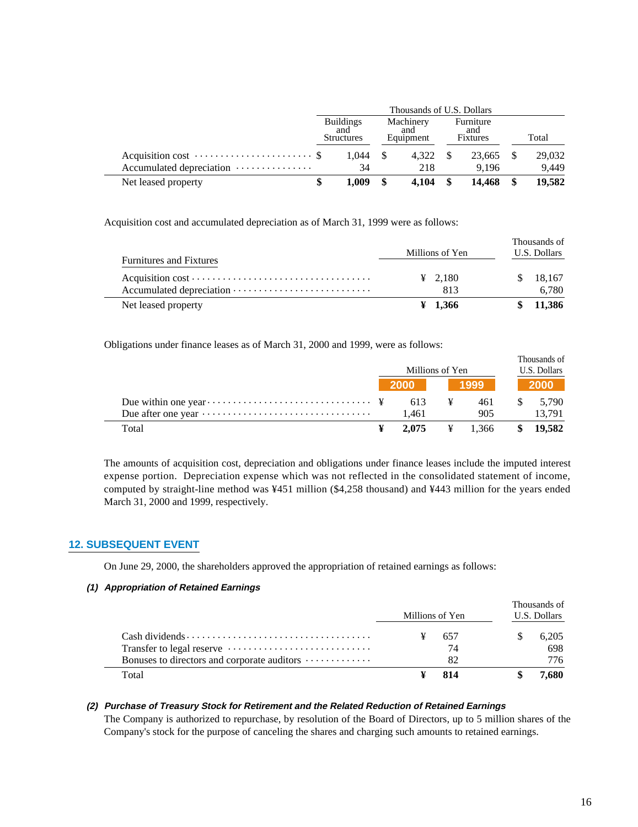|                          |  | <b>Buildings</b><br>and<br><b>Structures</b> | Machinery<br>and<br>Equipment |      | Furniture<br>and<br>Fixtures | Total  |  |
|--------------------------|--|----------------------------------------------|-------------------------------|------|------------------------------|--------|--|
|                          |  | 1.044                                        | 4.322                         | - \$ | 23,665                       | 29,032 |  |
| Accumulated depreciation |  | 34                                           | 218                           |      | 9.196                        | 9.449  |  |
| Net leased property      |  | 1.009                                        | $4.104 \quad$ \$              |      | 14.468                       | 19,582 |  |

Acquisition cost and accumulated depreciation as of March 31, 1999 were as follows:

|                                |                     | Thousands of |
|--------------------------------|---------------------|--------------|
|                                | Millions of Yen     | U.S. Dollars |
| <b>Furnitures and Fixtures</b> |                     |              |
|                                | $\frac{1}{2}$ 2.180 | 18,167       |
|                                | 813                 | 6.780        |
| Net leased property            | $\frac{1}{2}$ 1.366 | 11,386       |

Obligations under finance leases as of March 31, 2000 and 1999, were as follows:

|                                                                                  | Millions of Yen |                                                                                              |                     | Thousands of<br>U.S. Dollars |                    |
|----------------------------------------------------------------------------------|-----------------|----------------------------------------------------------------------------------------------|---------------------|------------------------------|--------------------|
|                                                                                  | $2000$          |                                                                                              | 1999                |                              | <b>2000</b>        |
|                                                                                  | 613             | $\mathbf{\mathbf{\mathbf{\mathbf{\mathbf{\mathbf{\mathbf{\mathbf{\mathbf{\mathbf{Y}}}}}}}}}$ | 461                 | $\mathbb{S}$                 | 5.790              |
| Due after one year $\dots \dots \dots \dots \dots \dots \dots \dots \dots \dots$ | 1.461           |                                                                                              | 905                 |                              | 13.791             |
| Total                                                                            | 2.075           |                                                                                              | $\frac{1}{2}$ 1,366 |                              | $\frac{19.582}{2}$ |

The amounts of acquisition cost, depreciation and obligations under finance leases include the imputed interest expense portion. Depreciation expense which was not reflected in the consolidated statement of income, computed by straight-line method was ¥451 million (\$4,258 thousand) and ¥443 million for the years ended March 31, 2000 and 1999, respectively.

#### **12. SUBSEQUENT EVENT**

On June 29, 2000, the shareholders approved the appropriation of retained earnings as follows:

#### **(1) Appropriation of Retained Earnings**

|                                             | Millions of Yen | Thousands of<br>U.S. Dollars |
|---------------------------------------------|-----------------|------------------------------|
|                                             | 657             | 6.205                        |
|                                             | 74              | 698                          |
| Bonuses to directors and corporate auditors | 82              | 776.                         |
| Total                                       | 814             | 7.680                        |

#### **(2) Purchase of Treasury Stock for Retirement and the Related Reduction of Retained Earnings**

The Company is authorized to repurchase, by resolution of the Board of Directors, up to 5 million shares of the Company's stock for the purpose of canceling the shares and charging such amounts to retained earnings.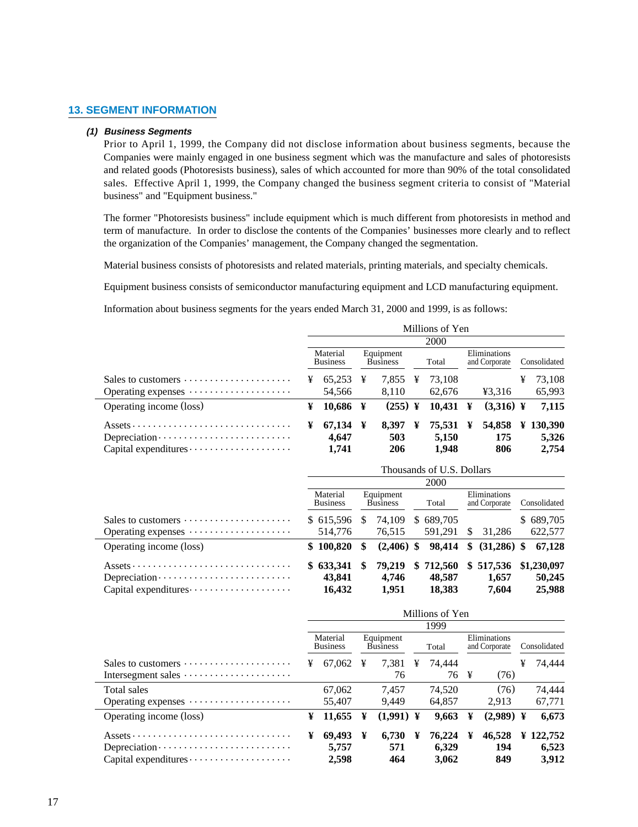#### **13. SEGMENT INFORMATION**

#### **(1) Business Segments**

Prior to April 1, 1999, the Company did not disclose information about business segments, because the Companies were mainly engaged in one business segment which was the manufacture and sales of photoresists and related goods (Photoresists business), sales of which accounted for more than 90% of the total consolidated sales. Effective April 1, 1999, the Company changed the business segment criteria to consist of "Material business" and "Equipment business."

The former "Photoresists business" include equipment which is much different from photoresists in method and term of manufacture. In order to disclose the contents of the Companies' businesses more clearly and to reflect the organization of the Companies' management, the Company changed the segmentation.

Material business consists of photoresists and related materials, printing materials, and specialty chemicals.

Equipment business consists of semiconductor manufacturing equipment and LCD manufacturing equipment.

Information about business segments for the years ended March 31, 2000 and 1999, is as follows:

|                                                                                           | Millions of Yen |                             |  |                              |   |                  |  |                               |   |                  |  |  |
|-------------------------------------------------------------------------------------------|-----------------|-----------------------------|--|------------------------------|---|------------------|--|-------------------------------|---|------------------|--|--|
|                                                                                           |                 |                             |  |                              |   | <b>2000</b>      |  |                               |   |                  |  |  |
|                                                                                           |                 | Material<br><b>Business</b> |  | Equipment<br><b>Business</b> |   | Total            |  | Eliminations<br>and Corporate |   | Consolidated     |  |  |
| Sales to customers $\dots \dots \dots \dots \dots \dots$                                  | ¥               | $65.253 \text{ }$           |  | 7,855                        | ¥ | 73.108           |  |                               | ¥ | 73.108           |  |  |
| Operating expenses $\dots \dots \dots \dots \dots \dots$                                  |                 | 54.566                      |  | 8.110                        |   | 62,676           |  | ¥3.316                        |   | 65,993           |  |  |
| Operating income (loss)                                                                   | ¥               | $10,686 \text{ } \text{F}$  |  | $(255)$ ¥                    |   | $10,431 \quad Y$ |  | $(3,316)$ ¥                   |   | 7,115            |  |  |
| $\overline{Assets} \cdots \cdots \cdots \cdots \cdots \cdots \cdots \cdots \cdots \cdots$ | ¥               | 67,134 ¥                    |  | 8.397                        | ¥ | 75,531 ¥         |  |                               |   | 54,858 ¥ 130,390 |  |  |
|                                                                                           |                 | 4.647                       |  | 503                          |   | 5,150            |  | 175                           |   | 5,326            |  |  |
|                                                                                           |                 | 1,741                       |  | 206                          |   | 1,948            |  | 806                           |   | 2,754            |  |  |

|                                                          | Thousands of U.S. Dollars   |    |                              |  |             |    |                               |  |              |  |  |
|----------------------------------------------------------|-----------------------------|----|------------------------------|--|-------------|----|-------------------------------|--|--------------|--|--|
|                                                          |                             |    |                              |  | <b>2000</b> |    |                               |  |              |  |  |
|                                                          | Material<br><b>Business</b> |    | Equipment<br><b>Business</b> |  | Total       |    | Eliminations<br>and Corporate |  | Consolidated |  |  |
| Sales to customers $\dots \dots \dots \dots \dots \dots$ | \$615.596                   | S  | 74.109                       |  | \$689,705   |    |                               |  | \$689,705    |  |  |
| Operating expenses                                       | 514,776                     |    | 76.515                       |  | 591.291     | \$ | 31.286                        |  | 622,577      |  |  |
| Operating income (loss)                                  | \$100,820                   | \$ | $(2,406)$ \$                 |  | 98.414      | S. | $(31,286)$ \$                 |  | 67.128       |  |  |
|                                                          | \$633,341                   | S  | 79,219                       |  | \$712,560   |    | \$517,536                     |  | \$1,230,097  |  |  |
|                                                          | 43,841                      |    | 4.746                        |  | 48,587      |    | 1,657                         |  | 50,245       |  |  |
|                                                          | 16,432                      |    | 1,951                        |  | 18,383      |    | 7,604                         |  | 25,988       |  |  |

|                                                                                             | Millions of Yen |                             |                              |             |       |        |                               |             |   |              |  |  |
|---------------------------------------------------------------------------------------------|-----------------|-----------------------------|------------------------------|-------------|-------|--------|-------------------------------|-------------|---|--------------|--|--|
|                                                                                             |                 |                             |                              |             |       | 1999   |                               |             |   |              |  |  |
|                                                                                             |                 | Material<br><b>Business</b> | Equipment<br><b>Business</b> |             | Total |        | Eliminations<br>and Corporate |             |   | Consolidated |  |  |
| Sales to customers $\dots \dots \dots \dots \dots \dots$                                    | ¥               | 67.062                      | ¥                            | 7.381       | ¥     | 74.444 |                               |             | ¥ | 74.444       |  |  |
| Intersegment sales                                                                          |                 |                             |                              | 76          |       | 76 ¥   |                               | (76)        |   |              |  |  |
| Total sales                                                                                 |                 | 67,062                      |                              | 7.457       |       | 74.520 |                               | (76)        |   | 74.444       |  |  |
| Operating expenses $\dots \dots \dots \dots \dots \dots$                                    |                 | 55,407                      |                              | 9.449       |       | 64.857 |                               | 2,913       |   | 67,771       |  |  |
| Operating income (loss)                                                                     | ¥               | 11,655                      | ¥                            | $(1,991)$ ¥ |       | 9,663  | ¥                             | $(2,989)$ ¥ |   | 6,673        |  |  |
| $\overline{Assets}\cdots\cdots\cdots\cdots\cdots\cdots\cdots\cdots\cdots\cdots\cdots\cdots$ | ¥               | 69,493                      | ¥                            | 6.730       | ¥     | 76.224 | ¥                             | 46,528      |   | ¥ 122,752    |  |  |
|                                                                                             |                 | 5.757                       |                              | 571         |       | 6.329  |                               | 194         |   | 6,523        |  |  |
| $Capital$ expenditures $\cdots \cdots \cdots \cdots \cdots$                                 |                 | 2,598                       |                              | 464         |       | 3,062  |                               | 849         |   | 3,912        |  |  |

÷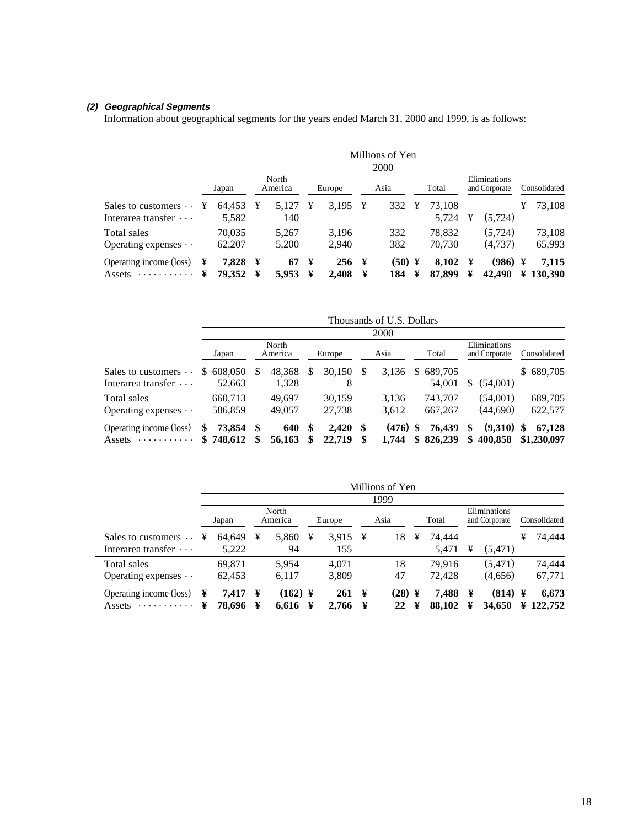#### **(2) Geographical Segments**

Information about geographical segments for the years ended March 31, 2000 and 1999, is as follows:

|                                        |        |                 |        |                  |        |              |        | Millions of Yen |        |                 |        |                               |        |                  |
|----------------------------------------|--------|-----------------|--------|------------------|--------|--------------|--------|-----------------|--------|-----------------|--------|-------------------------------|--------|------------------|
|                                        |        |                 |        |                  |        |              |        | 2000            |        |                 |        |                               |        |                  |
|                                        |        | Japan           |        | North<br>America |        | Europe       |        | Asia            |        | Total           |        | Eliminations<br>and Corporate |        | Consolidated     |
| Sales to customers $\cdots$            | ¥      | 64,453          | ¥      | 5.127            | ¥      | 3.195        | ¥      | 332             | ¥      | 73,108          |        |                               | ¥      | 73,108           |
| Interarea transfer $\cdots$            |        | 5,582           |        | 140              |        |              |        |                 |        | 5,724           | ¥      | (5, 724)                      |        |                  |
| Total sales                            |        | 70.035          |        | 5.267            |        | 3.196        |        | 332             |        | 78,832          |        | (5, 724)                      |        | 73,108           |
| Operating expenses $\cdots$            |        | 62,207          |        | 5,200            |        | 2,940        |        | 382             |        | 70,730          |        | (4,737)                       |        | 65,993           |
| Operating income (loss)<br>.<br>Assets | ¥<br>¥ | 7.828<br>79,352 | ¥<br>¥ | 67<br>5,953      | ¥<br>¥ | 256<br>2,408 | ¥<br>¥ | (50)<br>184     | ¥<br>¥ | 8,102<br>87,899 | ¥<br>¥ | (986)<br>42,490               | ¥<br>¥ | 7,115<br>130,390 |

|                                                       |    | Thousands of U.S. Dollars |      |                  |   |                  |   |                |           |                    |         |                               |    |                       |
|-------------------------------------------------------|----|---------------------------|------|------------------|---|------------------|---|----------------|-----------|--------------------|---------|-------------------------------|----|-----------------------|
|                                                       |    |                           |      |                  |   |                  |   | 2000           |           |                    |         |                               |    |                       |
|                                                       |    | Japan                     |      | North<br>America |   | Europe           |   | Asia           |           | Total              |         | Eliminations<br>and Corporate |    | Consolidated          |
| Sales to customers $\cdots$<br>Interarea transfer ··· | S. | 608,050<br>52,663         | S    | 48.368<br>1,328  | S | 30.150<br>8      | S | 3.136          | S         | 689.705<br>54,001  | S.      | (54,001)                      |    | \$689,705             |
| Total sales<br>Operating expenses $\cdots$            |    | 660.713<br>586,859        |      | 49.697<br>49,057 |   | 30.159<br>27,738 |   | 3.136<br>3.612 |           | 743.707<br>667,267 |         | (54,001)<br>(44.690)          |    | 689,705<br>622,577    |
| Operating income (loss)<br>.<br>Assets                | \$ | 73,854<br>\$748,612       | - \$ | 640<br>56,163    | S | 2.420<br>22,719  | S | (476)<br>1.744 | \$.<br>\$ | 76.439<br>826,239  | S<br>\$ | (9,310)<br>400.858            | -S | 67.128<br>\$1,230,097 |

|                             |   |        |   |                  |   |                     |   | Millions of Yen |   |        |   |                               |   |              |
|-----------------------------|---|--------|---|------------------|---|---------------------|---|-----------------|---|--------|---|-------------------------------|---|--------------|
|                             |   |        |   |                  |   |                     |   | 1999            |   |        |   |                               |   |              |
|                             |   | Japan  |   | North<br>America |   | Europe              |   | Asia            |   | Total  |   | Eliminations<br>and Corporate |   | Consolidated |
| Sales to customers $\cdots$ | ¥ | 64.649 | ¥ | 5,860            | ¥ | 3.915 $\frac{1}{2}$ |   | 18              | ¥ | 74.444 |   |                               | ¥ | 74.444       |
| Interarea transfer $\cdots$ |   | 5,222  |   | 94               |   | 155                 |   |                 |   | 5,471  | ¥ | (5,471)                       |   |              |
| Total sales                 |   | 69.871 |   | 5.954            |   | 4.071               |   | 18              |   | 79.916 |   | (5.471)                       |   | 74,444       |
| Operating expenses $\cdots$ |   | 62,453 |   | 6,117            |   | 3,809               |   | 47              |   | 72.428 |   | (4,656)                       |   | 67,771       |
| Operating income (loss)     | ¥ | 7.417  | ¥ | $(162)$ ¥        |   | 261                 | ¥ | $(28)$ ¥        |   | 7.488  | ¥ | (814)                         | ¥ | 6,673        |
| .<br>Assets                 | ¥ | 78.696 | ¥ | 6.616            | ¥ | 2,766               |   | 22              | ¥ | 88,102 | ¥ | 34,650                        | ¥ | 122,752      |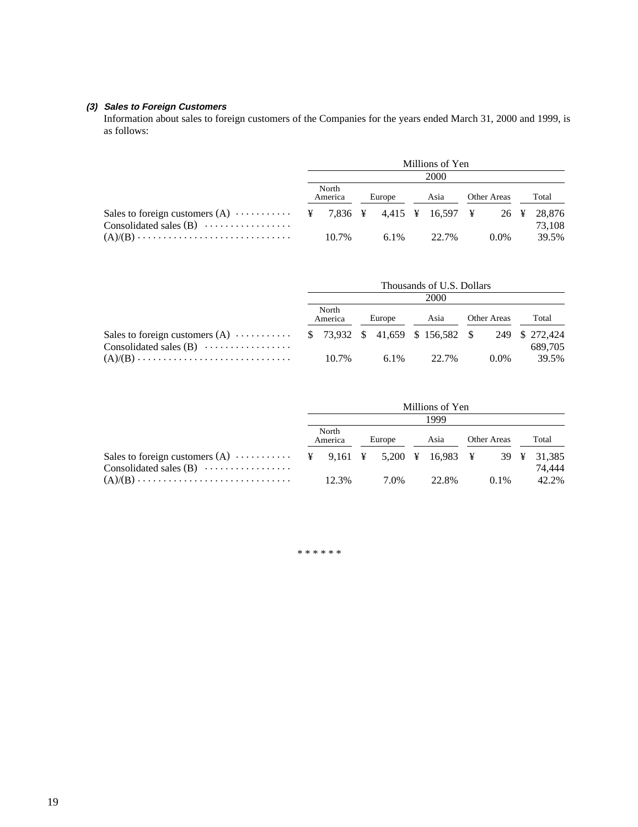#### **(3) Sales to Foreign Customers**

Information about sales to foreign customers of the Companies for the years ended March 31, 2000 and 1999, is as follows:

|                                                                                                                                    |                  |  |        |      | Millions of Yen |                    |         |        |
|------------------------------------------------------------------------------------------------------------------------------------|------------------|--|--------|------|-----------------|--------------------|---------|--------|
|                                                                                                                                    |                  |  |        |      | 2000            |                    |         |        |
|                                                                                                                                    | North<br>America |  | Europe | Asia |                 | <b>Other Areas</b> |         | Total  |
| Sales to foreign customers (A) $\cdots$ $\cdots$ $\ddots$ 7,836 $\ddagger$ 4,415 $\ddagger$ 16,597 $\ddagger$ 26 $\ddagger$ 28,876 |                  |  |        |      |                 |                    |         |        |
| Consolidated sales $(B)$                                                                                                           |                  |  |        |      |                 |                    |         | 73.108 |
|                                                                                                                                    | 10.7%            |  |        |      | $6.1\%$ 22.7%   |                    | $0.0\%$ | 39.5%  |

|                                                                                  | Thousands of U.S. Dollars<br>2000 |                  |  |        |               |             |         |       |         |
|----------------------------------------------------------------------------------|-----------------------------------|------------------|--|--------|---------------|-------------|---------|-------|---------|
|                                                                                  |                                   |                  |  |        |               |             |         |       |         |
|                                                                                  |                                   | North<br>America |  | Europe | Asia          | Other Areas |         | Total |         |
| Sales to foreign customers (A)  \$ 73,932 \$ 41,659 \$ 156,582 \$ 249 \$ 272,424 |                                   |                  |  |        |               |             |         |       |         |
| Consolidated sales $(B)$                                                         |                                   |                  |  |        |               |             |         |       | 689.705 |
|                                                                                  |                                   | 10.7%            |  |        | $6.1\%$ 22.7% |             | $0.0\%$ |       | 39.5%   |

|                                                                                                             | Millions of Yen  |       |        |      |      |       |             |         |       |        |
|-------------------------------------------------------------------------------------------------------------|------------------|-------|--------|------|------|-------|-------------|---------|-------|--------|
|                                                                                                             | 1999             |       |        |      |      |       |             |         |       |        |
|                                                                                                             | North<br>America |       | Europe |      | Asia |       | Other Areas |         | Total |        |
| Sales to foreign customers (A) $\cdots$ $\cdots$ $\ddots$ $\ddots$ 9,161 \; 5,200 \; 16,983 \; 39 \; 31,385 |                  |       |        |      |      |       |             |         |       |        |
| Consolidated sales $(B)$                                                                                    |                  |       |        |      |      |       |             |         |       | 74.444 |
| $(A)/(B) \ldots \ldots \ldots \ldots \ldots \ldots \ldots \ldots \ldots \ldots$                             |                  | 12.3% |        | 7.0% |      | 22.8% |             | $0.1\%$ |       | 42.2%  |

\* \* \* \* \* \*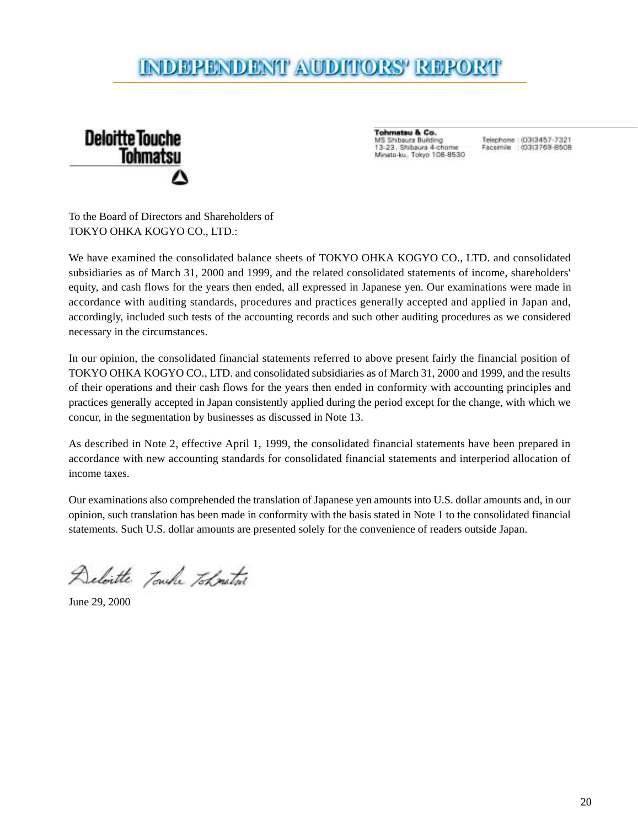### INDERENDENT AUDITORS' REFORT



**Tohmatsu & Co.** MS Shibaura Building 13-23, Shibaura 4-chome Minato-ku, Tokyo 108-8530

Telephone: (03)3457-7321 Facsimile : (03)3769-8508

To the Board of Directors and Shareholders of TOKYO OHKA KOGYO CO., LTD.:

We have examined the consolidated balance sheets of TOKYO OHKA KOGYO CO., LTD. and consolidated subsidiaries as of March 31, 2000 and 1999, and the related consolidated statements of income, shareholders' equity, and cash flows for the years then ended, all expressed in Japanese yen. Our examinations were made in accordance with auditing standards, procedures and practices generally accepted and applied in Japan and, accordingly, included such tests of the accounting records and such other auditing procedures as we considered necessary in the circumstances.

In our opinion, the consolidated financial statements referred to above present fairly the financial position of TOKYO OHKA KOGYO CO., LTD. and consolidated subsidiaries as of March 31, 2000 and 1999, and the results of their operations and their cash flows for the years then ended in conformity with accounting principles and practices generally accepted in Japan consistently applied during the period except for the change, with which we concur, in the segmentation by businesses as discussed in Note 13.

As described in Note 2, effective April 1, 1999, the consolidated financial statements have been prepared in accordance with new accounting standards for consolidated financial statements and interperiod allocation of income taxes.

Our examinations also comprehended the translation of Japanese yen amounts into U.S. dollar amounts and, in our opinion, such translation has been made in conformity with the basis stated in Note 1 to the consolidated financial statements. Such U.S. dollar amounts are presented solely for the convenience of readers outside Japan.

Deloitte Touche Toknature

June 29, 2000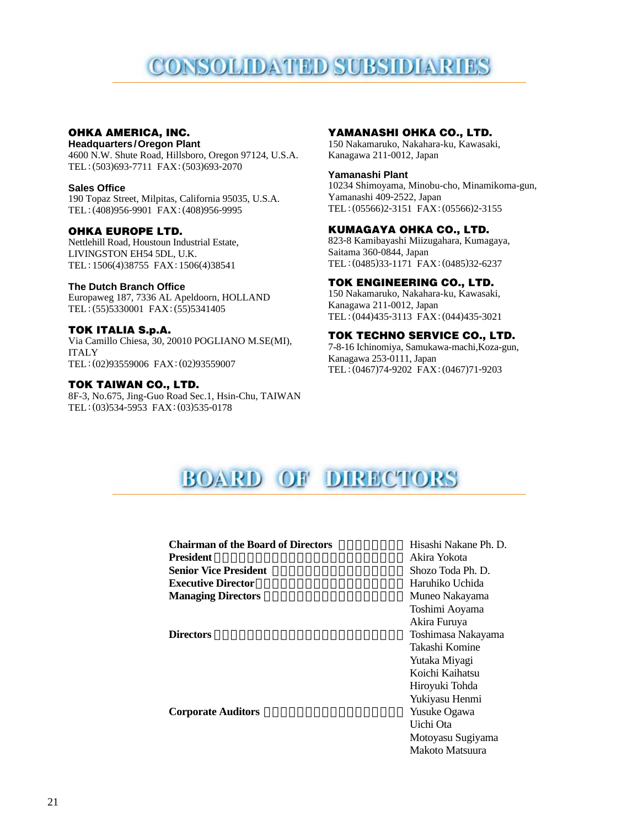## CONSOLIDATED SUBSIDIARIES

#### **OHKA AMERICA, INC.**

**Headquarters/Oregon Plant** 4600 N.W. Shute Road, Hillsboro, Oregon 97124, U.S.A. TEL: (503)693-7711 FAX: (503)693-2070

#### **Sales Office**

190 Topaz Street, Milpitas, California 95035, U.S.A. TEL: (408)956-9901 FAX: (408)956-9995

#### **OHKA EUROPE LTD.**

Nettlehill Road, Houstoun Industrial Estate, LIVINGSTON EH54 5DL, U.K. TEL: 1506(4)38755 FAX: 1506(4)38541

#### **The Dutch Branch Office**

Europaweg 187, 7336 AL Apeldoorn, HOLLAND TEL: (55)5330001 FAX: (55)5341405

#### **TOK ITALIA S.p.A.**

Via Camillo Chiesa, 30, 20010 POGLIANO M.SE(MI), ITALY TEL: (02)93559006 FAX: (02)93559007

#### **TOK TAIWAN CO., LTD.**

8F-3, No.675, Jing-Guo Road Sec.1, Hsin-Chu, TAIWAN TEL: (03)534-5953 FAX: (03)535-0178

#### **YAMANASHI OHKA CO., LTD.**

150 Nakamaruko, Nakahara-ku, Kawasaki, Kanagawa 211-0012, Japan

#### **Yamanashi Plant**

10234 Shimoyama, Minobu-cho, Minamikoma-gun, Yamanashi 409-2522, Japan TEL:(05566)2-3151 FAX:(05566)2-3155

#### **KUMAGAYA OHKA CO., LTD.**

823-8 Kamibayashi Miizugahara, Kumagaya, Saitama 360-0844, Japan TEL: (0485)33-1171 FAX: (0485)32-6237

#### **TOK ENGINEERING CO., LTD.**

150 Nakamaruko, Nakahara-ku, Kawasaki, Kanagawa 211-0012, Japan TEL:(044)435-3113 FAX:(044)435-3021

#### **TOK TECHNO SERVICE CO., LTD.**

7-8-16 Ichinomiya, Samukawa-machi,Koza-gun, Kanagawa 253-0111, Japan TEL: (0467)74-9202 FAX: (0467)71-9203

### **BOARD OF DIRECTORS**

#### **Chairman of the Board of Directors** Hisashi Nakane Ph. D. **President** Akira Yokota **Senior Vice President** Shozo Toda Ph. D. **Executive Director Haruhiko Uchida**

**Corporate Auditors** Yusuke Ogawa

**Managing Directors** Muneo Nakayama Toshimi Aoyama Akira Furuya **Directors** Toshimasa Nakayama Takashi Komine Yutaka Miyagi Koichi Kaihatsu Hiroyuki Tohda Yukiyasu Henmi Uichi Ota Motoyasu Sugiyama Makoto Matsuura